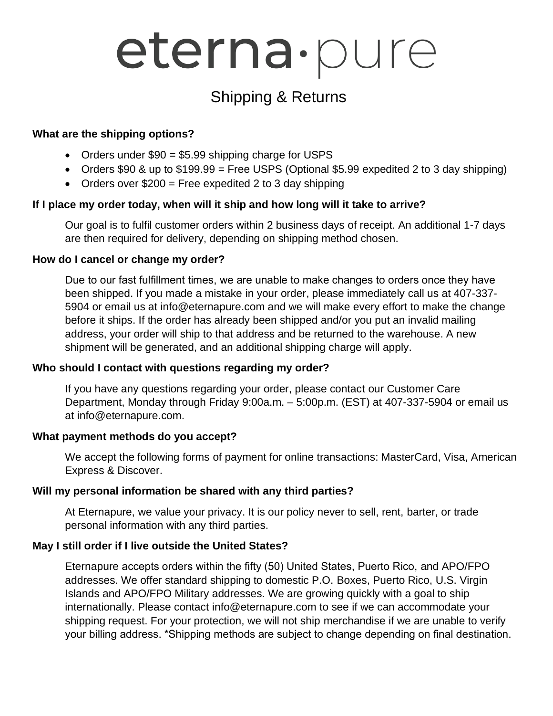# eterna·pure

# Shipping & Returns

#### **What are the shipping options?**

- Orders under \$90 = \$5.99 shipping charge for USPS
- Orders  $$90$  & up to  $$199.99$  = Free USPS (Optional  $$5.99$  expedited 2 to 3 day shipping)
- Orders over  $$200 =$  Free expedited 2 to 3 day shipping

## **If I place my order today, when will it ship and how long will it take to arrive?**

Our goal is to fulfil customer orders within 2 business days of receipt. An additional 1-7 days are then required for delivery, depending on shipping method chosen.

#### **How do I cancel or change my order?**

Due to our fast fulfillment times, we are unable to make changes to orders once they have been shipped. If you made a mistake in your order, please immediately call us at 407-337- 5904 or email us at info@eternapure.com and we will make every effort to make the change before it ships. If the order has already been shipped and/or you put an invalid mailing address, your order will ship to that address and be returned to the warehouse. A new shipment will be generated, and an additional shipping charge will apply.

## **Who should I contact with questions regarding my order?**

If you have any questions regarding your order, please contact our Customer Care Department, Monday through Friday 9:00a.m. – 5:00p.m. (EST) at 407-337-5904 or email us at info@eternapure.com.

## **What payment methods do you accept?**

We accept the following forms of payment for online transactions: MasterCard, Visa, American Express & Discover.

## **Will my personal information be shared with any third parties?**

At Eternapure, we value your privacy. It is our policy never to sell, rent, barter, or trade personal information with any third parties.

## **May I still order if I live outside the United States?**

Eternapure accepts orders within the fifty (50) United States, Puerto Rico, and APO/FPO addresses. We offer standard shipping to domestic P.O. Boxes, Puerto Rico, U.S. Virgin Islands and APO/FPO Military addresses. We are growing quickly with a goal to ship internationally. Please contact info@eternapure.com to see if we can accommodate your shipping request. For your protection, we will not ship merchandise if we are unable to verify your billing address. \*Shipping methods are subject to change depending on final destination.